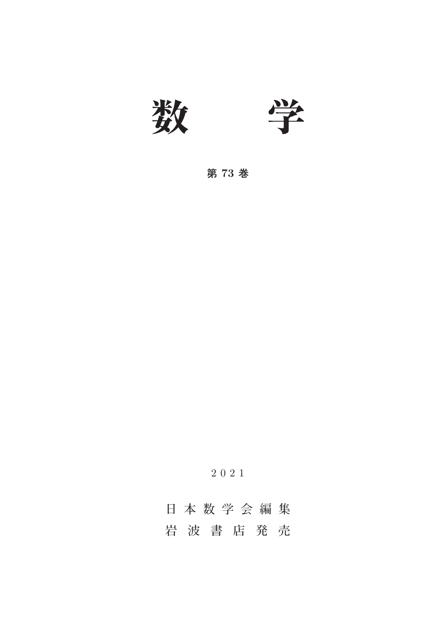

**第 73 巻**

2021

**日本数学会編集 岩波書店発売**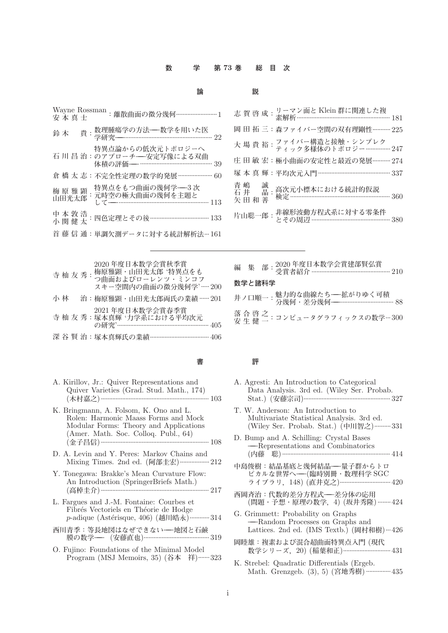### **数 学 第 73 巻 総 目 次**

| 論 | 説 |
|---|---|
|---|---|

| -<br>- |  |
|--------|--|
| -      |  |
|        |  |

| 1     |                                                                |
|-------|----------------------------------------------------------------|
|       | 岡 田 拓 三:森ファイバー空間の双有理剛性………… 225                                 |
| $-22$ | 大 場 貴 裕 : ファイバー構造と接触・シンプレク<br>大 場 貴 裕 : ティック多様体のトポロジー…………… 247 |
| $-39$ | 庄 田 敏 宏:極小曲面の安定性と最近の発展………… 274                                 |
| $-60$ |                                                                |
| 113   | 青 嶋<br>石井<br>矢田和善                                              |
| 133   | 片山聡一郎:                                                         |
|       |                                                                |

| Wayne Rossman : 離散曲面の微分幾何………………………1                                    |
|------------------------------------------------------------------------|
| 鈴木                                                                     |
| 特異点論からの低次元トポロジーへ<br>石川昌治:のアプローチ––安定写像による双曲<br>体積の評価——…………………………………… 39 |
| 倉 橋 太 志:不完全性定理の数学的発展………………… 60                                         |
| 特異点をもつ曲面の幾何学――3次<br>梅原雅顕<br>: 元時空の極大曲面の幾何を主題と<br>山田光太郎<br>113          |
| 中本敦浩<br>小関健太<br>: 四色定理とその後 ……………………………… 133                            |
| 首 藤 信 通:単調欠測データに対する統計解析法…161                                           |

|  |  | 2020 年度日本数学会賞秋季賞 |  |
|--|--|------------------|--|
|  |  |                  |  |

|    |  | 寺 杣 友 秀 : 梅原雅顕 : 山田光太郎 '特異点をも<br>つ曲面およびローレンツ・ミンコフ<br>スキー空間内の曲面の微分幾何学'……200 |
|----|--|----------------------------------------------------------------------------|
| 小林 |  | 治:梅原雅顕・山田光太郎両氏の業績 …… 201                                                   |
|    |  | 2021年度日本数学会賞春季賞<br>寺 杣 友 秀:塚本真輝 '力学系における平均次元<br>の研究'……………………………………………… 405 |
|    |  | 深 谷 賢 治:塚本真輝氏の業績………………………………… 406                                          |

| . . |  |
|-----|--|

| A. Kirillov, Jr.: Quiver Representations and |  |
|----------------------------------------------|--|
| Quiver Varieties (Grad. Stud. Math., 174)    |  |
| (木村嘉之) …………………………………………………………… 103           |  |

- K. Bringmann, A. Folsom, K. Ono and L. Rolen: Harmonic Maass Forms and Mock Modular Forms: Theory and Applications (Amer. Math. Soc. Colloq. Publ., 64) (**金子昌信**).................................................................. 108
- D. A. Levin and Y. Peres: Markov Chains and Mixing Times. 2nd ed. (**阿部圭宏**)..................212
- Y. Tonegawa: Brakke's Mean Curvature Flow: An Introduction (SpringerBriefs Math.) (**高棹圭介**).................................................................. 217
- L. Fargues and J.-M. Fontaine: Courbes et Fibrés Vectoriels en Théorie de Hodge p-adique (Astérisque, 406) (越川皓永) …………314
- **西川青季:等長地図はなぜできない---地図と石鹸 膜の数学---** (**安藤直也**)........................................ 319
- O. Fujino: Foundations of the Minimal Model Program (MSJ Memoirs, 35) (**谷本 祥**).......323

|        | 編 集 部: 2020年度日本数学会賞建部賢弘賞<br>編 集 部: 受賞者紹介 …………………………………………… 210 |
|--------|----------------------------------------------------------------|
| 数学と諸科学 |                                                                |
|        |                                                                |
|        | 落 合 啓 之 : コンピュータグラフィックスの数学…300                                 |
|        |                                                                |

#### **書 評**

- A. Agresti: An Introduction to Categorical Data Analysis. 3rd ed. (Wiley Ser. Probab. Stat.) (**安藤宗司**)..................................................... 327
- T. W. Anderson: An Introduction to Multivariate Statistical Analysis. 3rd ed. (Wiley Ser. Probab. Stat.) (**中川智之**)..........331
- D. Bump and A. Schilling: Crystal Bases **---**Representations and Combinatorics (内藤 聡) ………………………………………………………… 414
- **中島俊樹:結晶基底と幾何結晶---量子群からトロ ピカルな世界へ---**(**臨時別冊・数理科学** SGC **ライブラリ,**148) (**直井克之**)............................... 420
- **西岡斉治:代数的差分方程式---差分体の応用** (**問題・予想・原理の数学,**4) (**坂井秀隆**)........424
- G. Grimmett: Probability on Graphs **---**Random Processes on Graphs and Lattices. 2nd ed. (IMS Textb.) (岡村和樹)…426
- **岡睦雄:複素および混合超曲面特異点入門** (**現代 数学シリーズ,**20) (**稲葉和正**).............................431
- K. Strebel: Quadratic Differentials (Ergeb. Math. Grenzgeb. (3), 5) (**宮地秀樹**)...............435